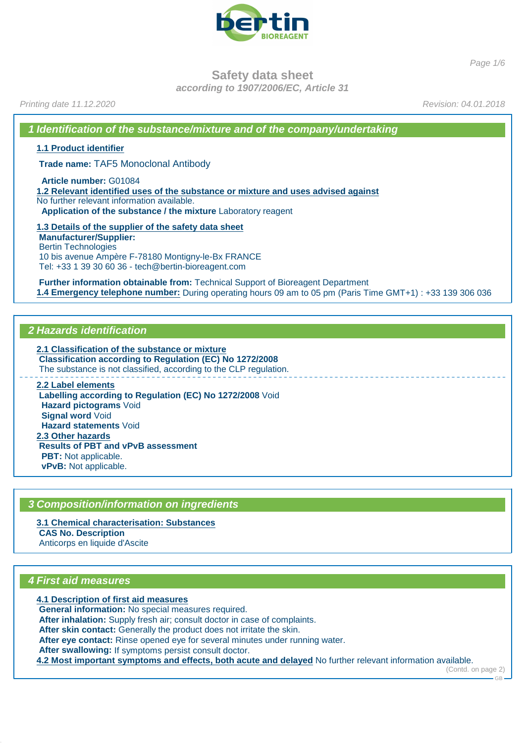

Page 1/6

**Safety data sheet**

**according to 1907/2006/EC, Article 31**

Printing date 11.12.2020 **Revision: 04.01.2018** 

**1 Identification of the substance/mixture and of the company/undertaking**

**1.1 Product identifier**

**Trade name:** TAF5 Monoclonal Antibody

**Article number:** G01084

**1.2 Relevant identified uses of the substance or mixture and uses advised against** No further relevant information available. **Application of the substance / the mixture** Laboratory reagent

**1.3 Details of the supplier of the safety data sheet Manufacturer/Supplier:** Bertin Technologies 10 bis avenue Ampère F-78180 Montigny-le-Bx FRANCE Tel: +33 1 39 30 60 36 - tech@bertin-bioreagent.com

**Further information obtainable from:** Technical Support of Bioreagent Department **1.4 Emergency telephone number:** During operating hours 09 am to 05 pm (Paris Time GMT+1) : +33 139 306 036

# **2 Hazards identification**

**2.1 Classification of the substance or mixture Classification according to Regulation (EC) No 1272/2008** The substance is not classified, according to the CLP regulation. **2.2 Label elements**

**Labelling according to Regulation (EC) No 1272/2008** Void **Hazard pictograms** Void **Signal word** Void **Hazard statements** Void **2.3 Other hazards Results of PBT and vPvB assessment PBT:** Not applicable. **vPvB:** Not applicable.

# **3 Composition/information on ingredients**

**3.1 Chemical characterisation: Substances CAS No. Description** Anticorps en liquide d'Ascite

#### **4 First aid measures**

**4.1 Description of first aid measures General information:** No special measures required. **After inhalation:** Supply fresh air; consult doctor in case of complaints. **After skin contact:** Generally the product does not irritate the skin. **After eye contact:** Rinse opened eye for several minutes under running water. **After swallowing:** If symptoms persist consult doctor. **4.2 Most important symptoms and effects, both acute and delayed** No further relevant information available.

(Contd. on page 2)

GB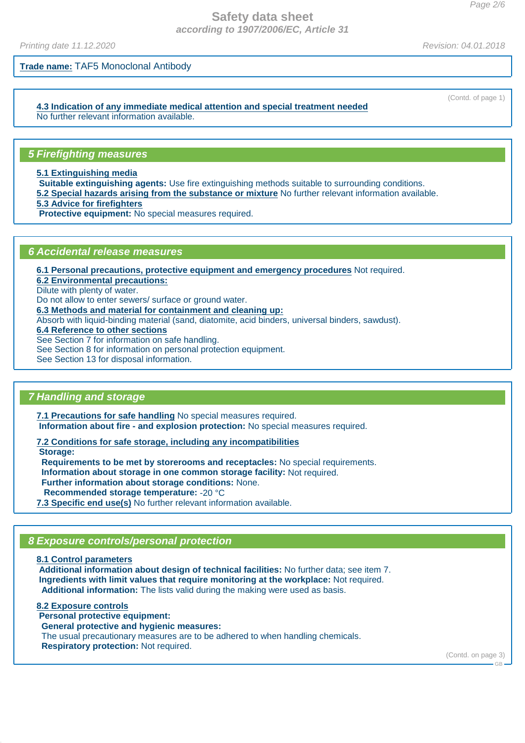Printing date 11.12.2020 **Revision: 04.01.2018** 

**Trade name:** TAF5 Monoclonal Antibody

**4.3 Indication of any immediate medical attention and special treatment needed** No further relevant information available.

#### **5 Firefighting measures**

**5.1 Extinguishing media**

**Suitable extinguishing agents:** Use fire extinguishing methods suitable to surrounding conditions.

**5.2 Special hazards arising from the substance or mixture** No further relevant information available.

**5.3 Advice for firefighters**

**Protective equipment:** No special measures required.

#### **6 Accidental release measures**

**6.1 Personal precautions, protective equipment and emergency procedures** Not required.

**6.2 Environmental precautions:**

Dilute with plenty of water.

Do not allow to enter sewers/ surface or ground water.

**6.3 Methods and material for containment and cleaning up:**

Absorb with liquid-binding material (sand, diatomite, acid binders, universal binders, sawdust).

**6.4 Reference to other sections**

See Section 7 for information on safe handling.

See Section 8 for information on personal protection equipment.

See Section 13 for disposal information.

# **7 Handling and storage**

**7.1 Precautions for safe handling** No special measures required. **Information about fire - and explosion protection:** No special measures required.

**7.2 Conditions for safe storage, including any incompatibilities**

**Storage:**

**Requirements to be met by storerooms and receptacles:** No special requirements.

**Information about storage in one common storage facility:** Not required.

**Further information about storage conditions:** None.

**Recommended storage temperature:** -20 °C

**7.3 Specific end use(s)** No further relevant information available.

# **8 Exposure controls/personal protection**

**8.1 Control parameters Additional information about design of technical facilities:** No further data; see item 7. **Ingredients with limit values that require monitoring at the workplace:** Not required. **Additional information:** The lists valid during the making were used as basis.

**8.2 Exposure controls Personal protective equipment: General protective and hygienic measures:** The usual precautionary measures are to be adhered to when handling chemicals. **Respiratory protection:** Not required.

(Contd. on page 3)

 $-GR$ 

(Contd. of page 1)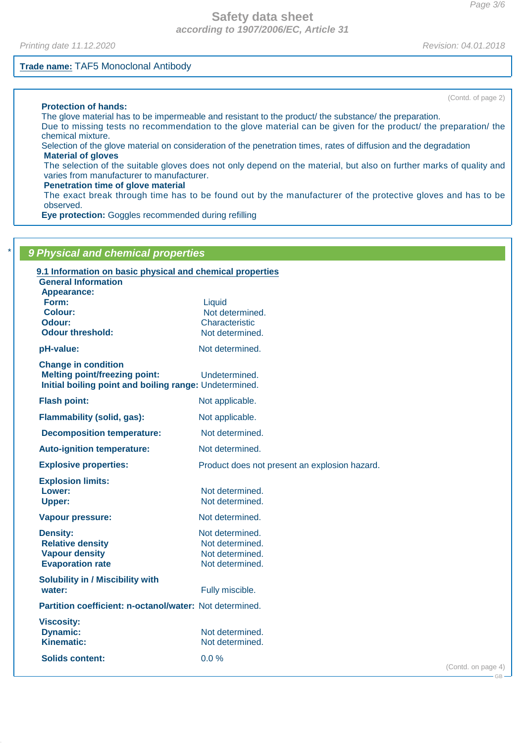Printing date 11.12.2020 **Revision: 04.01.2018** 

#### **Trade name:** TAF5 Monoclonal Antibody

(Contd. of page 2)

#### **Protection of hands:**

The glove material has to be impermeable and resistant to the product/ the substance/ the preparation. Due to missing tests no recommendation to the glove material can be given for the product/ the preparation/ the chemical mixture.

Selection of the glove material on consideration of the penetration times, rates of diffusion and the degradation **Material of gloves**

The selection of the suitable gloves does not only depend on the material, but also on further marks of quality and varies from manufacturer to manufacturer.

#### **Penetration time of glove material**

The exact break through time has to be found out by the manufacturer of the protective gloves and has to be observed.

**Eye protection:** Goggles recommended during refilling

| 9.1 Information on basic physical and chemical properties |                                               |  |
|-----------------------------------------------------------|-----------------------------------------------|--|
| <b>General Information</b>                                |                                               |  |
| Appearance:<br>Form:                                      | Liquid                                        |  |
| Colour:                                                   | Not determined.                               |  |
| Odour:                                                    | Characteristic                                |  |
| <b>Odour threshold:</b>                                   | Not determined.                               |  |
| pH-value:                                                 | Not determined.                               |  |
| <b>Change in condition</b>                                |                                               |  |
| <b>Melting point/freezing point:</b>                      | Undetermined.                                 |  |
| Initial boiling point and boiling range: Undetermined.    |                                               |  |
| <b>Flash point:</b>                                       | Not applicable.                               |  |
| Flammability (solid, gas):                                | Not applicable.                               |  |
| <b>Decomposition temperature:</b>                         | Not determined.                               |  |
| <b>Auto-ignition temperature:</b>                         | Not determined.                               |  |
| <b>Explosive properties:</b>                              | Product does not present an explosion hazard. |  |
| <b>Explosion limits:</b>                                  |                                               |  |
| Lower:                                                    | Not determined.                               |  |
| <b>Upper:</b>                                             | Not determined.                               |  |
| <b>Vapour pressure:</b>                                   | Not determined.                               |  |
| <b>Density:</b>                                           | Not determined.                               |  |
| <b>Relative density</b>                                   | Not determined.                               |  |
| <b>Vapour density</b>                                     | Not determined.                               |  |
| <b>Evaporation rate</b>                                   | Not determined.                               |  |
| <b>Solubility in / Miscibility with</b>                   |                                               |  |
| water:                                                    | Fully miscible.                               |  |
| Partition coefficient: n-octanol/water: Not determined.   |                                               |  |
| <b>Viscosity:</b>                                         |                                               |  |
| <b>Dynamic:</b>                                           | Not determined.                               |  |
| <b>Kinematic:</b>                                         | Not determined.                               |  |

GB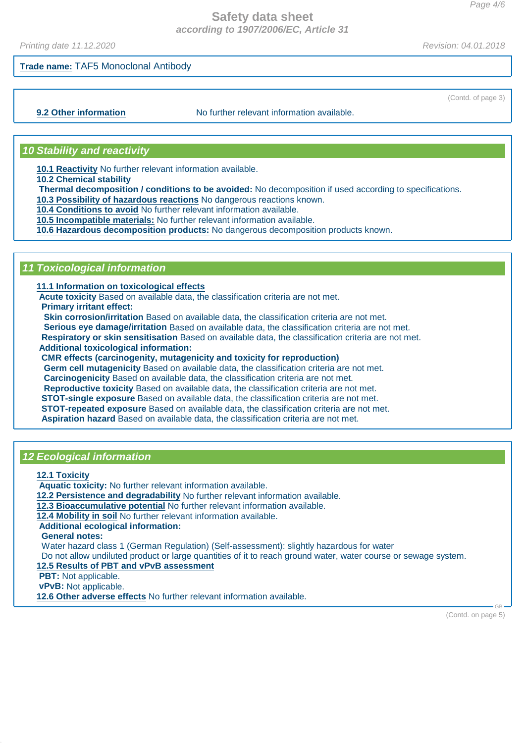Printing date 11.12.2020 **Revision: 04.01.2018** 

(Contd. of page 3)

## **Trade name:** TAF5 Monoclonal Antibody

**9.2 Other information** No further relevant information available.

#### **10 Stability and reactivity**

**10.1 Reactivity** No further relevant information available.

**10.2 Chemical stability**

**Thermal decomposition / conditions to be avoided:** No decomposition if used according to specifications.

**10.3 Possibility of hazardous reactions** No dangerous reactions known.

**10.4 Conditions to avoid** No further relevant information available.

**10.5 Incompatible materials:** No further relevant information available.

**10.6 Hazardous decomposition products:** No dangerous decomposition products known.

## **11 Toxicological information**

**11.1 Information on toxicological effects**

**Acute toxicity** Based on available data, the classification criteria are not met.

**Primary irritant effect:**

**Skin corrosion/irritation** Based on available data, the classification criteria are not met.

**Serious eye damage/irritation** Based on available data, the classification criteria are not met. **Respiratory or skin sensitisation** Based on available data, the classification criteria are not met.

**Additional toxicological information:**

**CMR effects (carcinogenity, mutagenicity and toxicity for reproduction)**

**Germ cell mutagenicity** Based on available data, the classification criteria are not met. **Carcinogenicity** Based on available data, the classification criteria are not met. **Reproductive toxicity** Based on available data, the classification criteria are not met. **STOT-single exposure** Based on available data, the classification criteria are not met. **STOT-repeated exposure** Based on available data, the classification criteria are not met. **Aspiration hazard** Based on available data, the classification criteria are not met.

#### **12 Ecological information**

**12.1 Toxicity**

**Aquatic toxicity:** No further relevant information available.

**12.2 Persistence and degradability** No further relevant information available.

**12.3 Bioaccumulative potential** No further relevant information available.

**12.4 Mobility in soil** No further relevant information available.

**Additional ecological information:**

**General notes:**

Water hazard class 1 (German Regulation) (Self-assessment): slightly hazardous for water

Do not allow undiluted product or large quantities of it to reach ground water, water course or sewage system.

**12.5 Results of PBT and vPvB assessment**

**PBT:** Not applicable.

**vPvB:** Not applicable.

**12.6 Other adverse effects** No further relevant information available.

(Contd. on page 5)

GB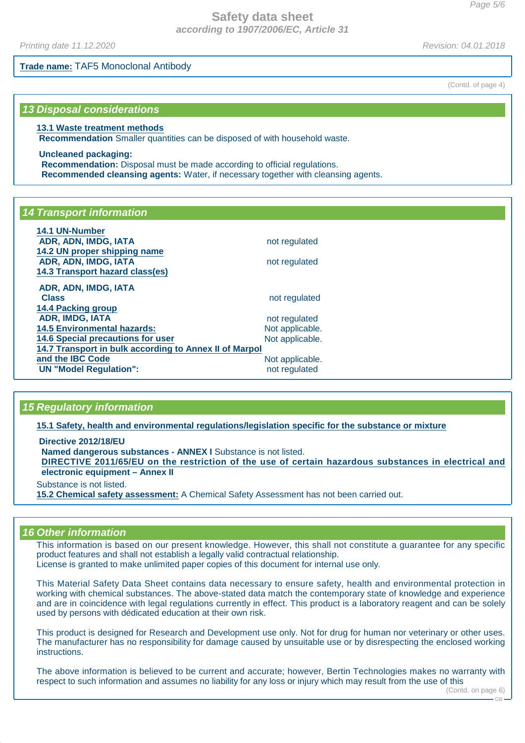Printing date 11.12.2020 **Revision: 04.01.2018** 

**Trade name:** TAF5 Monoclonal Antibody

#### **13 Disposal considerations**

#### **13.1 Waste treatment methods**

**Recommendation** Smaller quantities can be disposed of with household waste.

**Uncleaned packaging: Recommendation:** Disposal must be made according to official regulations. **Recommended cleansing agents:** Water, if necessary together with cleansing agents.

## **14 Transport information**

| 14.1 UN-Number                                         |                 |  |
|--------------------------------------------------------|-----------------|--|
| ADR, ADN, IMDG, IATA                                   | not regulated   |  |
| 14.2 UN proper shipping name                           |                 |  |
| ADR, ADN, IMDG, IATA                                   | not regulated   |  |
| 14.3 Transport hazard class(es)                        |                 |  |
| ADR, ADN, IMDG, IATA                                   |                 |  |
| <b>Class</b>                                           | not regulated   |  |
| <b>14.4 Packing group</b>                              |                 |  |
| <b>ADR, IMDG, IATA</b>                                 | not regulated   |  |
| <b>14.5 Environmental hazards:</b>                     | Not applicable. |  |
| <b>14.6 Special precautions for user</b>               | Not applicable. |  |
| 14.7 Transport in bulk according to Annex II of Marpol |                 |  |
| and the IBC Code                                       | Not applicable. |  |
| <b>UN "Model Regulation":</b>                          | not regulated   |  |

# **15 Regulatory information**

**15.1 Safety, health and environmental regulations/legislation specific for the substance or mixture**

**Directive 2012/18/EU Named dangerous substances - ANNEX I** Substance is not listed. DIRECTIVE 2011/65/EU on the restriction of the use of certain hazardous substances in electrical and **electronic equipment – Annex II** Substance is not listed.

**15.2 Chemical safety assessment:** A Chemical Safety Assessment has not been carried out.

#### **16 Other information**

This information is based on our present knowledge. However, this shall not constitute a guarantee for any specific product features and shall not establish a legally valid contractual relationship. License is granted to make unlimited paper copies of this document for internal use only.

This Material Safety Data Sheet contains data necessary to ensure safety, health and environmental protection in working with chemical substances. The above-stated data match the contemporary state of knowledge and experience and are in coincidence with legal regulations currently in effect. This product is a laboratory reagent and can be solely used by persons with dédicated education at their own risk.

This product is designed for Research and Development use only. Not for drug for human nor veterinary or other uses. The manufacturer has no responsibility for damage caused by unsuitable use or by disrespecting the enclosed working instructions.

The above information is believed to be current and accurate; however, Bertin Technologies makes no warranty with respect to such information and assumes no liability for any loss or injury which may result from the use of this

(Contd. of page 4)